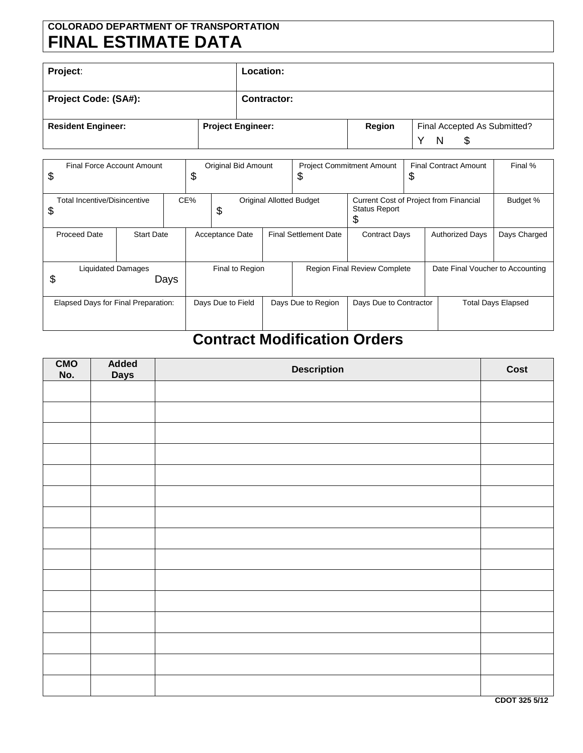## **COLORADO DEPARTMENT OF TRANSPORTATION FINAL ESTIMATE DATA**

| Project:                    | Location:                |        |                                                         |
|-----------------------------|--------------------------|--------|---------------------------------------------------------|
| <b>Project Code: (SA#):</b> | <b>Contractor:</b>       |        |                                                         |
| <b>Resident Engineer:</b>   | <b>Project Engineer:</b> | Region | Final Accepted As Submitted?<br>N<br>$\checkmark$<br>\$ |

| Final Force Account Amount<br>\$          |                   |  | \$                                                                                                                   | Original Bid Amount |                                     | \$                     | <b>Project Commitment Amount</b> | \$                               | <b>Final Contract Amount</b> | Final % |
|-------------------------------------------|-------------------|--|----------------------------------------------------------------------------------------------------------------------|---------------------|-------------------------------------|------------------------|----------------------------------|----------------------------------|------------------------------|---------|
| <b>Total Incentive/Disincentive</b><br>\$ |                   |  | CE%<br><b>Original Allotted Budget</b><br>Current Cost of Project from Financial<br><b>Status Report</b><br>\$<br>\$ |                     |                                     | Budget %               |                                  |                                  |                              |         |
| <b>Proceed Date</b>                       | <b>Start Date</b> |  | <b>Final Settlement Date</b><br>Acceptance Date<br><b>Contract Days</b>                                              |                     | <b>Authorized Days</b>              | Days Charged           |                                  |                                  |                              |         |
| <b>Liquidated Damages</b><br>\$<br>Days   |                   |  | Final to Region                                                                                                      |                     | <b>Region Final Review Complete</b> |                        |                                  | Date Final Voucher to Accounting |                              |         |
| Elapsed Days for Final Preparation:       |                   |  | Days Due to Field                                                                                                    | Days Due to Region  |                                     | Days Due to Contractor |                                  | <b>Total Days Elapsed</b>        |                              |         |

## **Contract Modification Orders**

| CMO<br>No. | Added<br><b>Days</b> | <b>Description</b> | Cost |
|------------|----------------------|--------------------|------|
|            |                      |                    |      |
|            |                      |                    |      |
|            |                      |                    |      |
|            |                      |                    |      |
|            |                      |                    |      |
|            |                      |                    |      |
|            |                      |                    |      |
|            |                      |                    |      |
|            |                      |                    |      |
|            |                      |                    |      |
|            |                      |                    |      |
|            |                      |                    |      |
|            |                      |                    |      |
|            |                      |                    |      |
|            |                      |                    |      |